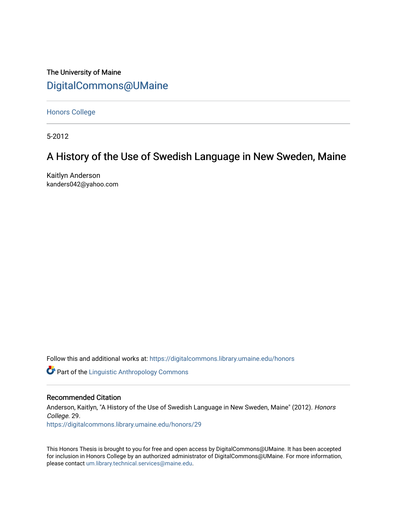The University of Maine [DigitalCommons@UMaine](https://digitalcommons.library.umaine.edu/)

[Honors College](https://digitalcommons.library.umaine.edu/honors)

5-2012

# A History of the Use of Swedish Language in New Sweden, Maine

Kaitlyn Anderson kanders042@yahoo.com

Follow this and additional works at: [https://digitalcommons.library.umaine.edu/honors](https://digitalcommons.library.umaine.edu/honors?utm_source=digitalcommons.library.umaine.edu%2Fhonors%2F29&utm_medium=PDF&utm_campaign=PDFCoverPages) 

**Part of the Linguistic Anthropology Commons** 

## Recommended Citation

Anderson, Kaitlyn, "A History of the Use of Swedish Language in New Sweden, Maine" (2012). Honors College. 29.

[https://digitalcommons.library.umaine.edu/honors/29](https://digitalcommons.library.umaine.edu/honors/29?utm_source=digitalcommons.library.umaine.edu%2Fhonors%2F29&utm_medium=PDF&utm_campaign=PDFCoverPages) 

This Honors Thesis is brought to you for free and open access by DigitalCommons@UMaine. It has been accepted for inclusion in Honors College by an authorized administrator of DigitalCommons@UMaine. For more information, please contact [um.library.technical.services@maine.edu.](mailto:um.library.technical.services@maine.edu)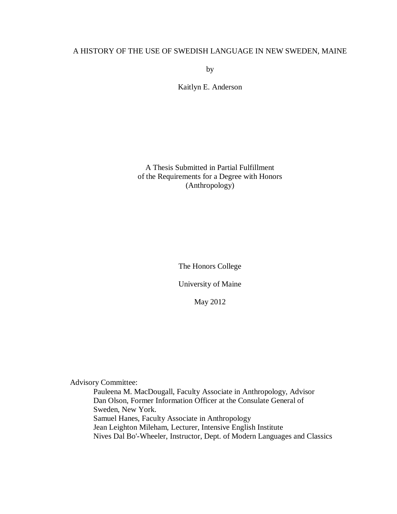## A HISTORY OF THE USE OF SWEDISH LANGUAGE IN NEW SWEDEN, MAINE

by

Kaitlyn E. Anderson

A Thesis Submitted in Partial Fulfillment of the Requirements for a Degree with Honors (Anthropology)

The Honors College

University of Maine

May 2012

Advisory Committee:

Pauleena M. MacDougall, Faculty Associate in Anthropology, Advisor Dan Olson, Former Information Officer at the Consulate General of Sweden, New York. Samuel Hanes, Faculty Associate in Anthropology Jean Leighton Mileham, Lecturer, Intensive English Institute Nives Dal Bo'-Wheeler, Instructor, Dept. of Modern Languages and Classics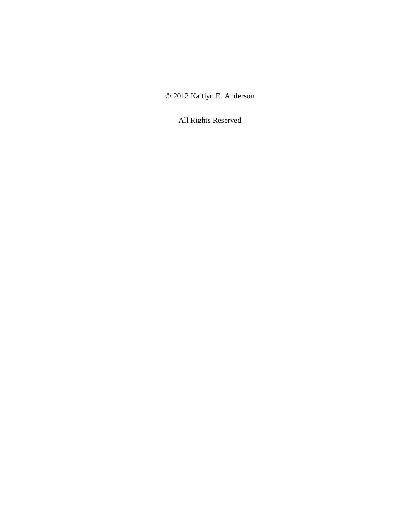© 2012 Kaitlyn E. Anderson

All Rights Reserved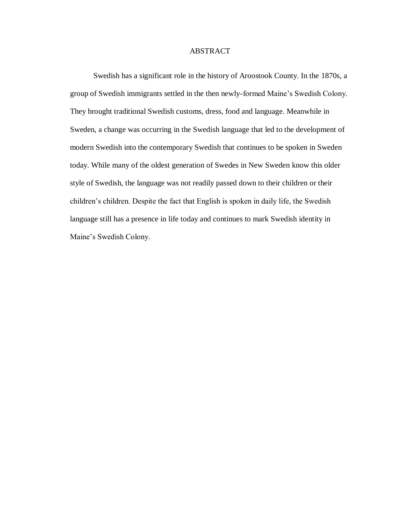## ABSTRACT

Swedish has a significant role in the history of Aroostook County. In the 1870s, a group of Swedish immigrants settled in the then newly-formed Maine's Swedish Colony. They brought traditional Swedish customs, dress, food and language. Meanwhile in Sweden, a change was occurring in the Swedish language that led to the development of modern Swedish into the contemporary Swedish that continues to be spoken in Sweden today. While many of the oldest generation of Swedes in New Sweden know this older style of Swedish, the language was not readily passed down to their children or their children's children. Despite the fact that English is spoken in daily life, the Swedish language still has a presence in life today and continues to mark Swedish identity in Maine's Swedish Colony.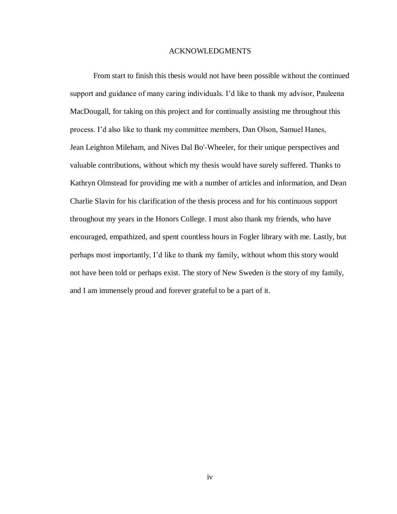### ACKNOWLEDGMENTS

From start to finish this thesis would not have been possible without the continued support and guidance of many caring individuals. I'd like to thank my advisor, Pauleena MacDougall, for taking on this project and for continually assisting me throughout this process. I'd also like to thank my committee members, Dan Olson, Samuel Hanes, Jean Leighton Mileham, and Nives Dal Bo'-Wheeler, for their unique perspectives and valuable contributions, without which my thesis would have surely suffered. Thanks to Kathryn Olmstead for providing me with a number of articles and information, and Dean Charlie Slavin for his clarification of the thesis process and for his continuous support throughout my years in the Honors College. I must also thank my friends, who have encouraged, empathized, and spent countless hours in Fogler library with me. Lastly, but perhaps most importantly, I'd like to thank my family, without whom this story would not have been told or perhaps exist. The story of New Sweden *is* the story of my family, and I am immensely proud and forever grateful to be a part of it.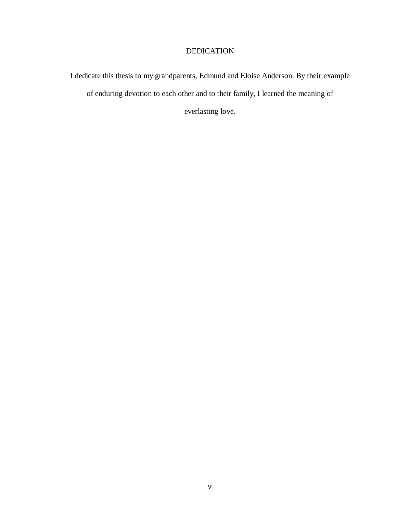## DEDICATION

I dedicate this thesis to my grandparents, Edmund and Eloise Anderson. By their example of enduring devotion to each other and to their family, I learned the meaning of everlasting love.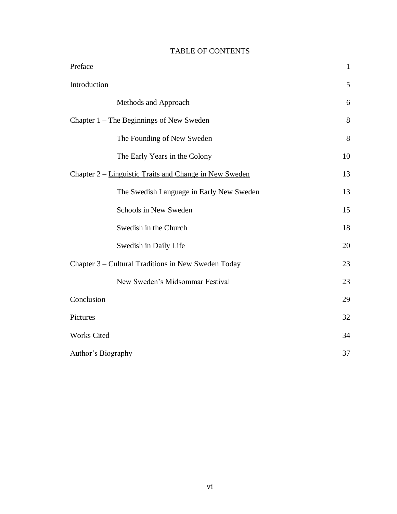## TABLE OF CONTENTS

| Preface                                                | $\mathbf{1}$ |
|--------------------------------------------------------|--------------|
| Introduction                                           | 5            |
| Methods and Approach                                   | 6            |
| Chapter 1 – The Beginnings of New Sweden               | 8            |
| The Founding of New Sweden                             | 8            |
| The Early Years in the Colony                          | 10           |
| Chapter 2 – Linguistic Traits and Change in New Sweden | 13           |
| The Swedish Language in Early New Sweden               | 13           |
| Schools in New Sweden                                  | 15           |
| Swedish in the Church                                  | 18           |
| Swedish in Daily Life                                  | 20           |
| Chapter 3 - Cultural Traditions in New Sweden Today    | 23           |
| New Sweden's Midsommar Festival                        | 23           |
| Conclusion                                             | 29           |
| Pictures                                               | 32           |
| <b>Works Cited</b>                                     | 34           |
| Author's Biography                                     |              |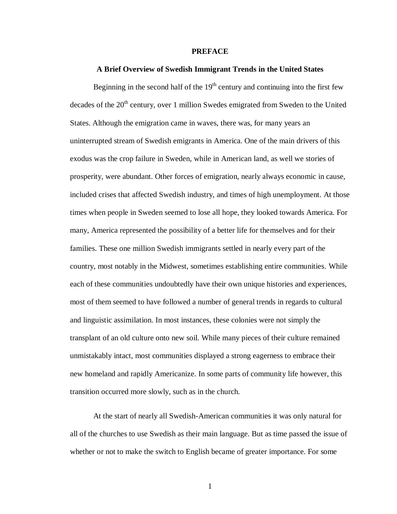#### **PREFACE**

#### **A Brief Overview of Swedish Immigrant Trends in the United States**

Beginning in the second half of the  $19<sup>th</sup>$  century and continuing into the first few decades of the  $20<sup>th</sup>$  century, over 1 million Swedes emigrated from Sweden to the United States. Although the emigration came in waves, there was, for many years an uninterrupted stream of Swedish emigrants in America. One of the main drivers of this exodus was the crop failure in Sweden, while in American land, as well we stories of prosperity, were abundant. Other forces of emigration, nearly always economic in cause, included crises that affected Swedish industry, and times of high unemployment. At those times when people in Sweden seemed to lose all hope, they looked towards America. For many, America represented the possibility of a better life for themselves and for their families. These one million Swedish immigrants settled in nearly every part of the country, most notably in the Midwest, sometimes establishing entire communities. While each of these communities undoubtedly have their own unique histories and experiences, most of them seemed to have followed a number of general trends in regards to cultural and linguistic assimilation. In most instances, these colonies were not simply the transplant of an old culture onto new soil. While many pieces of their culture remained unmistakably intact, most communities displayed a strong eagerness to embrace their new homeland and rapidly Americanize. In some parts of community life however, this transition occurred more slowly, such as in the church.

At the start of nearly all Swedish-American communities it was only natural for all of the churches to use Swedish as their main language. But as time passed the issue of whether or not to make the switch to English became of greater importance. For some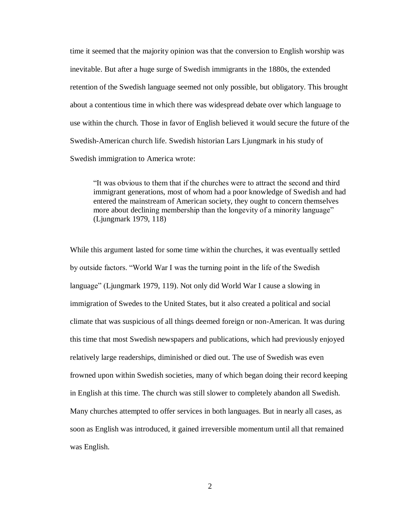time it seemed that the majority opinion was that the conversion to English worship was inevitable. But after a huge surge of Swedish immigrants in the 1880s, the extended retention of the Swedish language seemed not only possible, but obligatory. This brought about a contentious time in which there was widespread debate over which language to use within the church. Those in favor of English believed it would secure the future of the Swedish-American church life. Swedish historian Lars Ljungmark in his study of Swedish immigration to America wrote:

"It was obvious to them that if the churches were to attract the second and third immigrant generations, most of whom had a poor knowledge of Swedish and had entered the mainstream of American society, they ought to concern themselves more about declining membership than the longevity of a minority language" (Ljungmark 1979, 118)

While this argument lasted for some time within the churches, it was eventually settled by outside factors. "World War I was the turning point in the life of the Swedish language" (Ljungmark 1979, 119). Not only did World War I cause a slowing in immigration of Swedes to the United States, but it also created a political and social climate that was suspicious of all things deemed foreign or non-American. It was during this time that most Swedish newspapers and publications, which had previously enjoyed relatively large readerships, diminished or died out. The use of Swedish was even frowned upon within Swedish societies, many of which began doing their record keeping in English at this time. The church was still slower to completely abandon all Swedish. Many churches attempted to offer services in both languages. But in nearly all cases, as soon as English was introduced, it gained irreversible momentum until all that remained was English.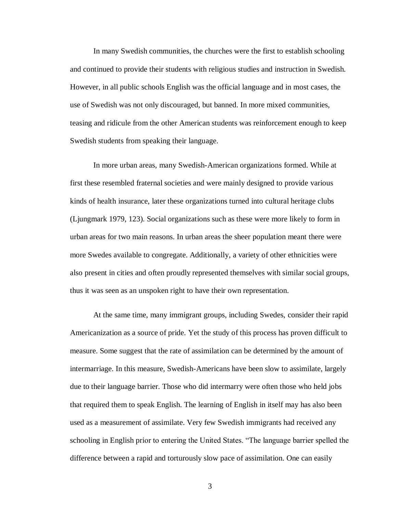In many Swedish communities, the churches were the first to establish schooling and continued to provide their students with religious studies and instruction in Swedish. However, in all public schools English was the official language and in most cases, the use of Swedish was not only discouraged, but banned. In more mixed communities, teasing and ridicule from the other American students was reinforcement enough to keep Swedish students from speaking their language.

In more urban areas, many Swedish-American organizations formed. While at first these resembled fraternal societies and were mainly designed to provide various kinds of health insurance, later these organizations turned into cultural heritage clubs (Ljungmark 1979, 123). Social organizations such as these were more likely to form in urban areas for two main reasons. In urban areas the sheer population meant there were more Swedes available to congregate. Additionally, a variety of other ethnicities were also present in cities and often proudly represented themselves with similar social groups, thus it was seen as an unspoken right to have their own representation.

At the same time, many immigrant groups, including Swedes, consider their rapid Americanization as a source of pride. Yet the study of this process has proven difficult to measure. Some suggest that the rate of assimilation can be determined by the amount of intermarriage. In this measure, Swedish-Americans have been slow to assimilate, largely due to their language barrier. Those who did intermarry were often those who held jobs that required them to speak English. The learning of English in itself may has also been used as a measurement of assimilate. Very few Swedish immigrants had received any schooling in English prior to entering the United States. "The language barrier spelled the difference between a rapid and torturously slow pace of assimilation. One can easily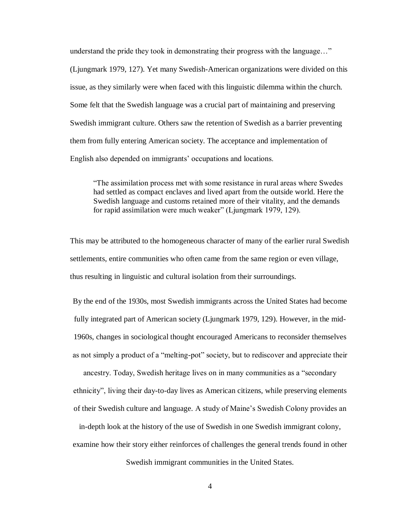understand the pride they took in demonstrating their progress with the language…" (Ljungmark 1979, 127). Yet many Swedish-American organizations were divided on this issue, as they similarly were when faced with this linguistic dilemma within the church. Some felt that the Swedish language was a crucial part of maintaining and preserving Swedish immigrant culture. Others saw the retention of Swedish as a barrier preventing them from fully entering American society. The acceptance and implementation of English also depended on immigrants' occupations and locations.

"The assimilation process met with some resistance in rural areas where Swedes had settled as compact enclaves and lived apart from the outside world. Here the Swedish language and customs retained more of their vitality, and the demands for rapid assimilation were much weaker" (Ljungmark 1979, 129).

This may be attributed to the homogeneous character of many of the earlier rural Swedish settlements, entire communities who often came from the same region or even village, thus resulting in linguistic and cultural isolation from their surroundings.

By the end of the 1930s, most Swedish immigrants across the United States had become fully integrated part of American society (Ljungmark 1979, 129). However, in the mid-1960s, changes in sociological thought encouraged Americans to reconsider themselves as not simply a product of a "melting-pot" society, but to rediscover and appreciate their

ancestry. Today, Swedish heritage lives on in many communities as a "secondary ethnicity", living their day-to-day lives as American citizens, while preserving elements of their Swedish culture and language. A study of Maine's Swedish Colony provides an

in-depth look at the history of the use of Swedish in one Swedish immigrant colony, examine how their story either reinforces of challenges the general trends found in other

Swedish immigrant communities in the United States.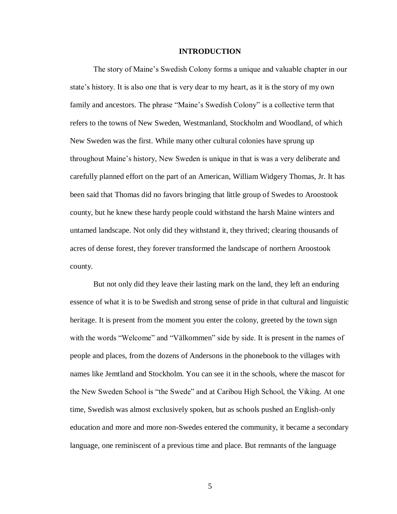#### **INTRODUCTION**

The story of Maine's Swedish Colony forms a unique and valuable chapter in our state's history. It is also one that is very dear to my heart, as it is the story of my own family and ancestors. The phrase "Maine's Swedish Colony" is a collective term that refers to the towns of New Sweden, Westmanland, Stockholm and Woodland, of which New Sweden was the first. While many other cultural colonies have sprung up throughout Maine's history, New Sweden is unique in that is was a very deliberate and carefully planned effort on the part of an American, William Widgery Thomas, Jr. It has been said that Thomas did no favors bringing that little group of Swedes to Aroostook county, but he knew these hardy people could withstand the harsh Maine winters and untamed landscape. Not only did they withstand it, they thrived; clearing thousands of acres of dense forest, they forever transformed the landscape of northern Aroostook county.

But not only did they leave their lasting mark on the land, they left an enduring essence of what it is to be Swedish and strong sense of pride in that cultural and linguistic heritage. It is present from the moment you enter the colony, greeted by the town sign with the words "Welcome" and "Välkommen" side by side. It is present in the names of people and places, from the dozens of Andersons in the phonebook to the villages with names like Jemtland and Stockholm. You can see it in the schools, where the mascot for the New Sweden School is "the Swede" and at Caribou High School, the Viking. At one time, Swedish was almost exclusively spoken, but as schools pushed an English-only education and more and more non-Swedes entered the community, it became a secondary language, one reminiscent of a previous time and place. But remnants of the language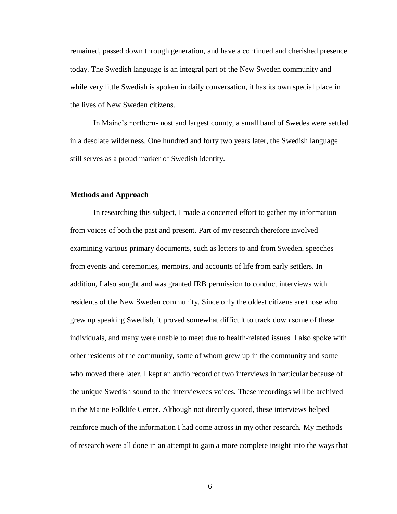remained, passed down through generation, and have a continued and cherished presence today. The Swedish language is an integral part of the New Sweden community and while very little Swedish is spoken in daily conversation, it has its own special place in the lives of New Sweden citizens.

In Maine's northern-most and largest county, a small band of Swedes were settled in a desolate wilderness. One hundred and forty two years later, the Swedish language still serves as a proud marker of Swedish identity.

#### **Methods and Approach**

In researching this subject, I made a concerted effort to gather my information from voices of both the past and present. Part of my research therefore involved examining various primary documents, such as letters to and from Sweden, speeches from events and ceremonies, memoirs, and accounts of life from early settlers. In addition, I also sought and was granted IRB permission to conduct interviews with residents of the New Sweden community. Since only the oldest citizens are those who grew up speaking Swedish, it proved somewhat difficult to track down some of these individuals, and many were unable to meet due to health-related issues. I also spoke with other residents of the community, some of whom grew up in the community and some who moved there later. I kept an audio record of two interviews in particular because of the unique Swedish sound to the interviewees voices. These recordings will be archived in the Maine Folklife Center. Although not directly quoted, these interviews helped reinforce much of the information I had come across in my other research. My methods of research were all done in an attempt to gain a more complete insight into the ways that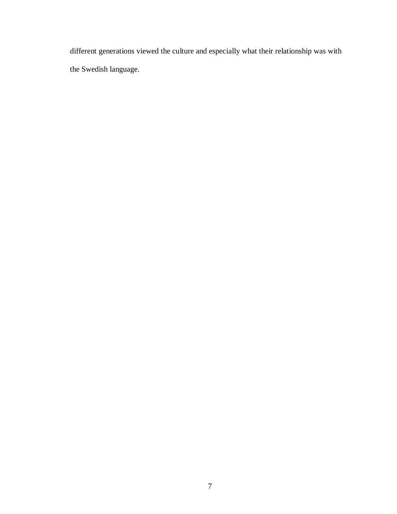different generations viewed the culture and especially what their relationship was with the Swedish language.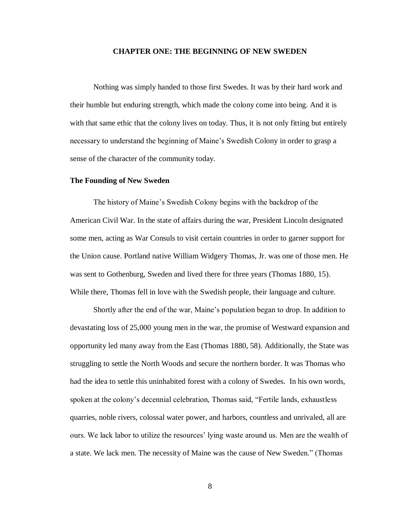#### **CHAPTER ONE: THE BEGINNING OF NEW SWEDEN**

Nothing was simply handed to those first Swedes. It was by their hard work and their humble but enduring strength, which made the colony come into being. And it is with that same ethic that the colony lives on today. Thus, it is not only fitting but entirely necessary to understand the beginning of Maine's Swedish Colony in order to grasp a sense of the character of the community today.

#### **The Founding of New Sweden**

The history of Maine's Swedish Colony begins with the backdrop of the American Civil War. In the state of affairs during the war, President Lincoln designated some men, acting as War Consuls to visit certain countries in order to garner support for the Union cause. Portland native William Widgery Thomas, Jr. was one of those men. He was sent to Gothenburg, Sweden and lived there for three years (Thomas 1880, 15). While there, Thomas fell in love with the Swedish people, their language and culture.

Shortly after the end of the war, Maine's population began to drop. In addition to devastating loss of 25,000 young men in the war, the promise of Westward expansion and opportunity led many away from the East (Thomas 1880, 58). Additionally, the State was struggling to settle the North Woods and secure the northern border. It was Thomas who had the idea to settle this uninhabited forest with a colony of Swedes. In his own words, spoken at the colony's decennial celebration, Thomas said, "Fertile lands, exhaustless quarries, noble rivers, colossal water power, and harbors, countless and unrivaled, all are ours. We lack labor to utilize the resources' lying waste around us. Men are the wealth of a state. We lack men. The necessity of Maine was the cause of New Sweden." (Thomas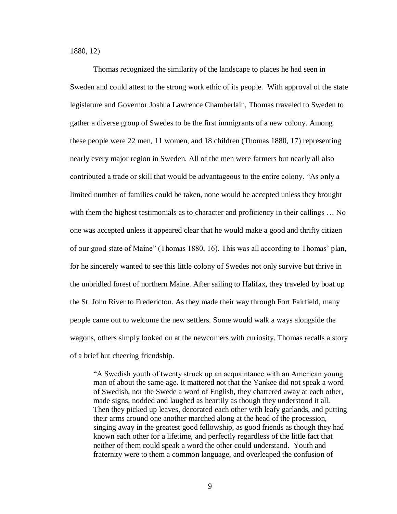1880, 12)

Thomas recognized the similarity of the landscape to places he had seen in Sweden and could attest to the strong work ethic of its people. With approval of the state legislature and Governor Joshua Lawrence Chamberlain, Thomas traveled to Sweden to gather a diverse group of Swedes to be the first immigrants of a new colony. Among these people were 22 men, 11 women, and 18 children (Thomas 1880, 17) representing nearly every major region in Sweden. All of the men were farmers but nearly all also contributed a trade or skill that would be advantageous to the entire colony. "As only a limited number of families could be taken, none would be accepted unless they brought with them the highest testimonials as to character and proficiency in their callings ... No one was accepted unless it appeared clear that he would make a good and thrifty citizen of our good state of Maine" (Thomas 1880, 16). This was all according to Thomas' plan, for he sincerely wanted to see this little colony of Swedes not only survive but thrive in the unbridled forest of northern Maine. After sailing to Halifax, they traveled by boat up the St. John River to Fredericton. As they made their way through Fort Fairfield, many people came out to welcome the new settlers. Some would walk a ways alongside the wagons, others simply looked on at the newcomers with curiosity. Thomas recalls a story of a brief but cheering friendship.

"A Swedish youth of twenty struck up an acquaintance with an American young man of about the same age. It mattered not that the Yankee did not speak a word of Swedish, nor the Swede a word of English, they chattered away at each other, made signs, nodded and laughed as heartily as though they understood it all. Then they picked up leaves, decorated each other with leafy garlands, and putting their arms around one another marched along at the head of the procession, singing away in the greatest good fellowship, as good friends as though they had known each other for a lifetime, and perfectly regardless of the little fact that neither of them could speak a word the other could understand. Youth and fraternity were to them a common language, and overleaped the confusion of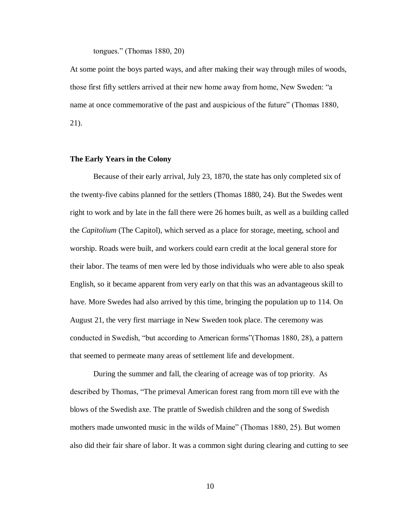tongues." (Thomas 1880, 20)

At some point the boys parted ways, and after making their way through miles of woods, those first fifty settlers arrived at their new home away from home, New Sweden: "a name at once commemorative of the past and auspicious of the future" (Thomas 1880, 21).

#### **The Early Years in the Colony**

Because of their early arrival, July 23, 1870, the state has only completed six of the twenty-five cabins planned for the settlers (Thomas 1880, 24). But the Swedes went right to work and by late in the fall there were 26 homes built, as well as a building called the *Capitolium* (The Capitol), which served as a place for storage, meeting, school and worship. Roads were built, and workers could earn credit at the local general store for their labor. The teams of men were led by those individuals who were able to also speak English, so it became apparent from very early on that this was an advantageous skill to have. More Swedes had also arrived by this time, bringing the population up to 114. On August 21, the very first marriage in New Sweden took place. The ceremony was conducted in Swedish, "but according to American forms"(Thomas 1880, 28), a pattern that seemed to permeate many areas of settlement life and development.

During the summer and fall, the clearing of acreage was of top priority. As described by Thomas, "The primeval American forest rang from morn till eve with the blows of the Swedish axe. The prattle of Swedish children and the song of Swedish mothers made unwonted music in the wilds of Maine" (Thomas 1880, 25). But women also did their fair share of labor. It was a common sight during clearing and cutting to see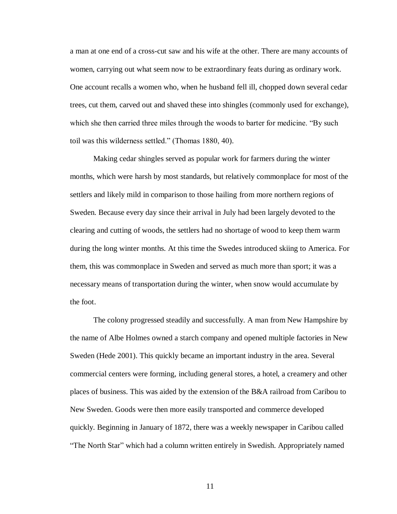a man at one end of a cross-cut saw and his wife at the other. There are many accounts of women, carrying out what seem now to be extraordinary feats during as ordinary work. One account recalls a women who, when he husband fell ill, chopped down several cedar trees, cut them, carved out and shaved these into shingles (commonly used for exchange), which she then carried three miles through the woods to barter for medicine. "By such toil was this wilderness settled." (Thomas 1880, 40).

Making cedar shingles served as popular work for farmers during the winter months, which were harsh by most standards, but relatively commonplace for most of the settlers and likely mild in comparison to those hailing from more northern regions of Sweden. Because every day since their arrival in July had been largely devoted to the clearing and cutting of woods, the settlers had no shortage of wood to keep them warm during the long winter months. At this time the Swedes introduced skiing to America. For them, this was commonplace in Sweden and served as much more than sport; it was a necessary means of transportation during the winter, when snow would accumulate by the foot.

The colony progressed steadily and successfully. A man from New Hampshire by the name of Albe Holmes owned a starch company and opened multiple factories in New Sweden (Hede 2001). This quickly became an important industry in the area. Several commercial centers were forming, including general stores, a hotel, a creamery and other places of business. This was aided by the extension of the B&A railroad from Caribou to New Sweden. Goods were then more easily transported and commerce developed quickly. Beginning in January of 1872, there was a weekly newspaper in Caribou called "The North Star" which had a column written entirely in Swedish. Appropriately named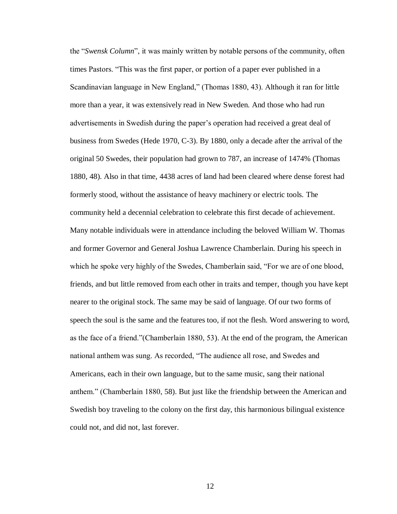the "*Swensk Column*", it was mainly written by notable persons of the community, often times Pastors. "This was the first paper, or portion of a paper ever published in a Scandinavian language in New England," (Thomas 1880, 43). Although it ran for little more than a year, it was extensively read in New Sweden. And those who had run advertisements in Swedish during the paper's operation had received a great deal of business from Swedes (Hede 1970, C-3). By 1880, only a decade after the arrival of the original 50 Swedes, their population had grown to 787, an increase of 1474% (Thomas 1880, 48). Also in that time, 4438 acres of land had been cleared where dense forest had formerly stood, without the assistance of heavy machinery or electric tools. The community held a decennial celebration to celebrate this first decade of achievement. Many notable individuals were in attendance including the beloved William W. Thomas and former Governor and General Joshua Lawrence Chamberlain. During his speech in which he spoke very highly of the Swedes, Chamberlain said, "For we are of one blood, friends, and but little removed from each other in traits and temper, though you have kept nearer to the original stock. The same may be said of language. Of our two forms of speech the soul is the same and the features too, if not the flesh. Word answering to word, as the face of a friend."(Chamberlain 1880, 53). At the end of the program, the American national anthem was sung. As recorded, "The audience all rose, and Swedes and Americans, each in their own language, but to the same music, sang their national anthem." (Chamberlain 1880, 58). But just like the friendship between the American and Swedish boy traveling to the colony on the first day, this harmonious bilingual existence could not, and did not, last forever.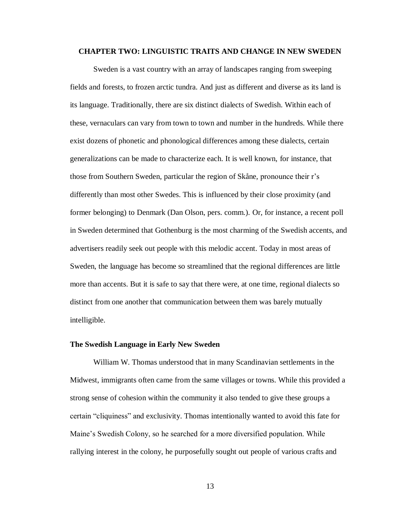## **CHAPTER TWO: LINGUISTIC TRAITS AND CHANGE IN NEW SWEDEN**

Sweden is a vast country with an array of landscapes ranging from sweeping fields and forests, to frozen arctic tundra. And just as different and diverse as its land is its language. Traditionally, there are six distinct dialects of Swedish. Within each of these, vernaculars can vary from town to town and number in the hundreds. While there exist dozens of phonetic and phonological differences among these dialects, certain generalizations can be made to characterize each. It is well known, for instance, that those from Southern Sweden, particular the region of Skåne, pronounce their r's differently than most other Swedes. This is influenced by their close proximity (and former belonging) to Denmark (Dan Olson, pers. comm.). Or, for instance, a recent poll in Sweden determined that Gothenburg is the most charming of the Swedish accents, and advertisers readily seek out people with this melodic accent. Today in most areas of Sweden, the language has become so streamlined that the regional differences are little more than accents. But it is safe to say that there were, at one time, regional dialects so distinct from one another that communication between them was barely mutually intelligible.

#### **The Swedish Language in Early New Sweden**

William W. Thomas understood that in many Scandinavian settlements in the Midwest, immigrants often came from the same villages or towns. While this provided a strong sense of cohesion within the community it also tended to give these groups a certain "cliquiness" and exclusivity. Thomas intentionally wanted to avoid this fate for Maine's Swedish Colony, so he searched for a more diversified population. While rallying interest in the colony, he purposefully sought out people of various crafts and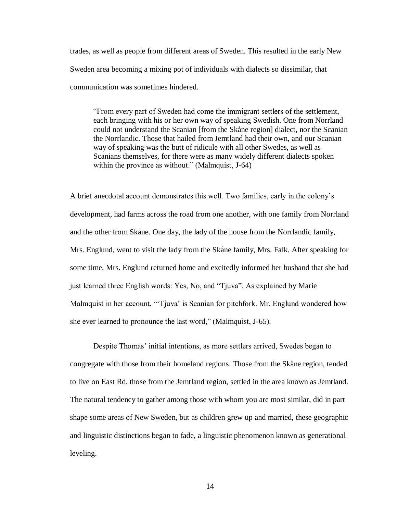trades, as well as people from different areas of Sweden. This resulted in the early New Sweden area becoming a mixing pot of individuals with dialects so dissimilar, that communication was sometimes hindered.

"From every part of Sweden had come the immigrant settlers of the settlement, each bringing with his or her own way of speaking Swedish. One from Norrland could not understand the Scanian [from the Skåne region] dialect, nor the Scanian the Norrlandic. Those that hailed from Jemtland had their own, and our Scanian way of speaking was the butt of ridicule with all other Swedes, as well as Scanians themselves, for there were as many widely different dialects spoken within the province as without." (Malmquist, J-64)

A brief anecdotal account demonstrates this well. Two families, early in the colony's development, had farms across the road from one another, with one family from Norrland and the other from Skåne. One day, the lady of the house from the Norrlandic family, Mrs. Englund, went to visit the lady from the Skåne family, Mrs. Falk. After speaking for some time, Mrs. Englund returned home and excitedly informed her husband that she had just learned three English words: Yes, No, and "Tjuva". As explained by Marie Malmquist in her account, "'Tjuva' is Scanian for pitchfork. Mr. Englund wondered how she ever learned to pronounce the last word," (Malmquist, J-65).

Despite Thomas' initial intentions, as more settlers arrived, Swedes began to congregate with those from their homeland regions. Those from the Skåne region, tended to live on East Rd, those from the Jemtland region, settled in the area known as Jemtland. The natural tendency to gather among those with whom you are most similar, did in part shape some areas of New Sweden, but as children grew up and married, these geographic and linguistic distinctions began to fade, a linguistic phenomenon known as generational leveling.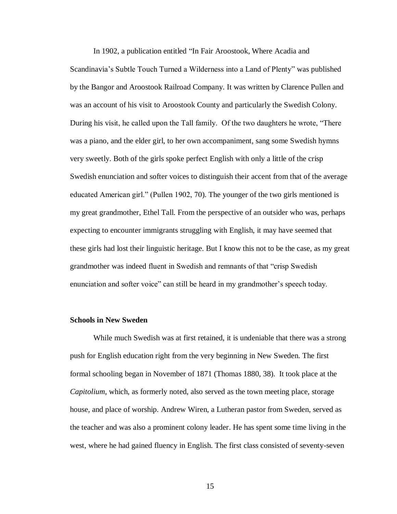In 1902, a publication entitled "In Fair Aroostook, Where Acadia and Scandinavia's Subtle Touch Turned a Wilderness into a Land of Plenty" was published by the Bangor and Aroostook Railroad Company. It was written by Clarence Pullen and was an account of his visit to Aroostook County and particularly the Swedish Colony. During his visit, he called upon the Tall family. Of the two daughters he wrote, "There was a piano, and the elder girl, to her own accompaniment, sang some Swedish hymns very sweetly. Both of the girls spoke perfect English with only a little of the crisp Swedish enunciation and softer voices to distinguish their accent from that of the average educated American girl." (Pullen 1902, 70). The younger of the two girls mentioned is my great grandmother, Ethel Tall. From the perspective of an outsider who was, perhaps expecting to encounter immigrants struggling with English, it may have seemed that these girls had lost their linguistic heritage. But I know this not to be the case, as my great grandmother was indeed fluent in Swedish and remnants of that "crisp Swedish enunciation and softer voice" can still be heard in my grandmother's speech today.

### **Schools in New Sweden**

While much Swedish was at first retained, it is undeniable that there was a strong push for English education right from the very beginning in New Sweden. The first formal schooling began in November of 1871 (Thomas 1880, 38). It took place at the *Capitolium*, which, as formerly noted, also served as the town meeting place, storage house, and place of worship. Andrew Wiren, a Lutheran pastor from Sweden, served as the teacher and was also a prominent colony leader. He has spent some time living in the west, where he had gained fluency in English. The first class consisted of seventy-seven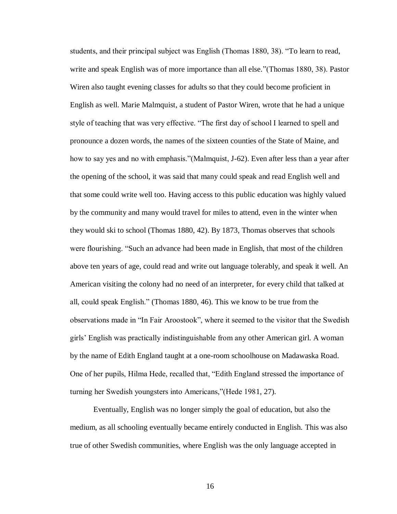students, and their principal subject was English (Thomas 1880, 38). "To learn to read, write and speak English was of more importance than all else."(Thomas 1880, 38). Pastor Wiren also taught evening classes for adults so that they could become proficient in English as well. Marie Malmquist, a student of Pastor Wiren, wrote that he had a unique style of teaching that was very effective. "The first day of school I learned to spell and pronounce a dozen words, the names of the sixteen counties of the State of Maine, and how to say yes and no with emphasis."(Malmquist, J-62). Even after less than a year after the opening of the school, it was said that many could speak and read English well and that some could write well too. Having access to this public education was highly valued by the community and many would travel for miles to attend, even in the winter when they would ski to school (Thomas 1880, 42). By 1873, Thomas observes that schools were flourishing. "Such an advance had been made in English, that most of the children above ten years of age, could read and write out language tolerably, and speak it well. An American visiting the colony had no need of an interpreter, for every child that talked at all, could speak English." (Thomas 1880, 46). This we know to be true from the observations made in "In Fair Aroostook", where it seemed to the visitor that the Swedish girls' English was practically indistinguishable from any other American girl. A woman by the name of Edith England taught at a one-room schoolhouse on Madawaska Road. One of her pupils, Hilma Hede, recalled that, "Edith England stressed the importance of turning her Swedish youngsters into Americans,"(Hede 1981, 27).

Eventually, English was no longer simply the goal of education, but also the medium, as all schooling eventually became entirely conducted in English. This was also true of other Swedish communities, where English was the only language accepted in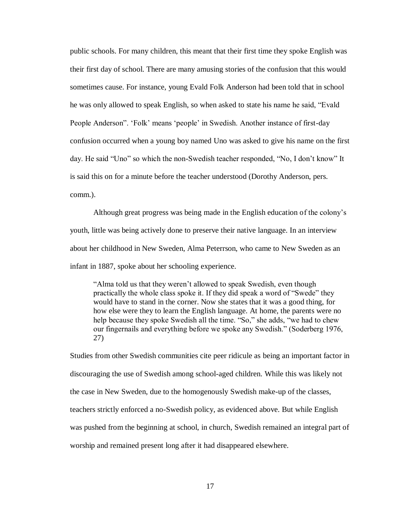public schools. For many children, this meant that their first time they spoke English was their first day of school. There are many amusing stories of the confusion that this would sometimes cause. For instance, young Evald Folk Anderson had been told that in school he was only allowed to speak English, so when asked to state his name he said, "Evald People Anderson". 'Folk' means 'people' in Swedish. Another instance of first-day confusion occurred when a young boy named Uno was asked to give his name on the first day. He said "Uno" so which the non-Swedish teacher responded, "No, I don't know" It is said this on for a minute before the teacher understood (Dorothy Anderson, pers. comm.).

Although great progress was being made in the English education of the colony's youth, little was being actively done to preserve their native language. In an interview about her childhood in New Sweden, Alma Peterrson, who came to New Sweden as an infant in 1887, spoke about her schooling experience.

"Alma told us that they weren't allowed to speak Swedish, even though practically the whole class spoke it. If they did speak a word of "Swede" they would have to stand in the corner. Now she states that it was a good thing, for how else were they to learn the English language. At home, the parents were no help because they spoke Swedish all the time. "So," she adds, "we had to chew our fingernails and everything before we spoke any Swedish." (Soderberg 1976, 27)

Studies from other Swedish communities cite peer ridicule as being an important factor in discouraging the use of Swedish among school-aged children. While this was likely not the case in New Sweden, due to the homogenously Swedish make-up of the classes, teachers strictly enforced a no-Swedish policy, as evidenced above. But while English was pushed from the beginning at school, in church, Swedish remained an integral part of worship and remained present long after it had disappeared elsewhere.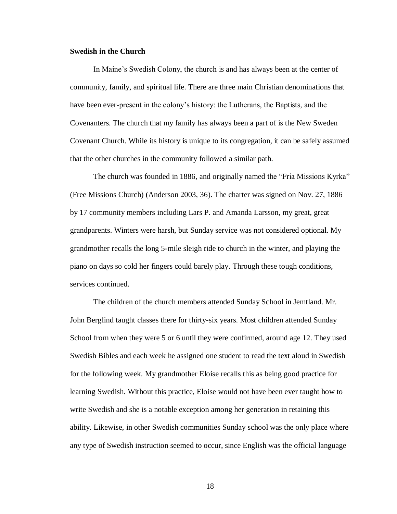### **Swedish in the Church**

In Maine's Swedish Colony, the church is and has always been at the center of community, family, and spiritual life. There are three main Christian denominations that have been ever-present in the colony's history: the Lutherans, the Baptists, and the Covenanters. The church that my family has always been a part of is the New Sweden Covenant Church. While its history is unique to its congregation, it can be safely assumed that the other churches in the community followed a similar path.

The church was founded in 1886, and originally named the "Fria Missions Kyrka" (Free Missions Church) (Anderson 2003, 36). The charter was signed on Nov. 27, 1886 by 17 community members including Lars P. and Amanda Larsson, my great, great grandparents. Winters were harsh, but Sunday service was not considered optional. My grandmother recalls the long 5-mile sleigh ride to church in the winter, and playing the piano on days so cold her fingers could barely play. Through these tough conditions, services continued.

The children of the church members attended Sunday School in Jemtland. Mr. John Berglind taught classes there for thirty-six years. Most children attended Sunday School from when they were 5 or 6 until they were confirmed, around age 12. They used Swedish Bibles and each week he assigned one student to read the text aloud in Swedish for the following week. My grandmother Eloise recalls this as being good practice for learning Swedish. Without this practice, Eloise would not have been ever taught how to write Swedish and she is a notable exception among her generation in retaining this ability. Likewise, in other Swedish communities Sunday school was the only place where any type of Swedish instruction seemed to occur, since English was the official language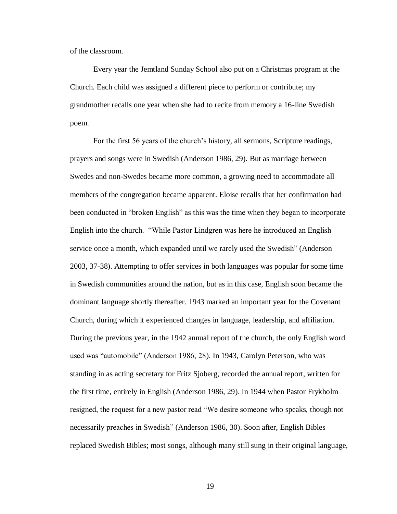of the classroom.

Every year the Jemtland Sunday School also put on a Christmas program at the Church. Each child was assigned a different piece to perform or contribute; my grandmother recalls one year when she had to recite from memory a 16-line Swedish poem.

For the first 56 years of the church's history, all sermons, Scripture readings, prayers and songs were in Swedish (Anderson 1986, 29). But as marriage between Swedes and non-Swedes became more common, a growing need to accommodate all members of the congregation became apparent. Eloise recalls that her confirmation had been conducted in "broken English" as this was the time when they began to incorporate English into the church. "While Pastor Lindgren was here he introduced an English service once a month, which expanded until we rarely used the Swedish" (Anderson 2003, 37-38). Attempting to offer services in both languages was popular for some time in Swedish communities around the nation, but as in this case, English soon became the dominant language shortly thereafter. 1943 marked an important year for the Covenant Church, during which it experienced changes in language, leadership, and affiliation. During the previous year, in the 1942 annual report of the church, the only English word used was "automobile" (Anderson 1986, 28). In 1943, Carolyn Peterson, who was standing in as acting secretary for Fritz Sjoberg, recorded the annual report, written for the first time, entirely in English (Anderson 1986, 29). In 1944 when Pastor Frykholm resigned, the request for a new pastor read "We desire someone who speaks, though not necessarily preaches in Swedish" (Anderson 1986, 30). Soon after, English Bibles replaced Swedish Bibles; most songs, although many still sung in their original language,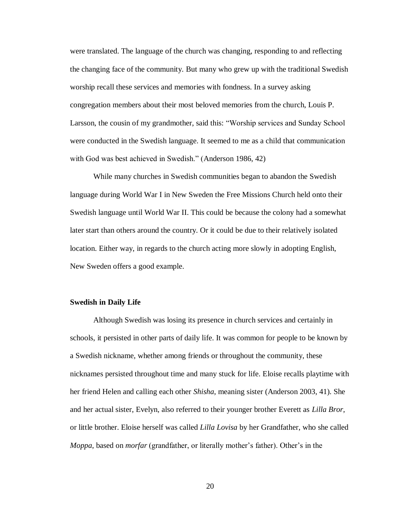were translated. The language of the church was changing, responding to and reflecting the changing face of the community. But many who grew up with the traditional Swedish worship recall these services and memories with fondness. In a survey asking congregation members about their most beloved memories from the church, Louis P. Larsson, the cousin of my grandmother, said this: "Worship services and Sunday School were conducted in the Swedish language. It seemed to me as a child that communication with God was best achieved in Swedish." (Anderson 1986, 42)

While many churches in Swedish communities began to abandon the Swedish language during World War I in New Sweden the Free Missions Church held onto their Swedish language until World War II. This could be because the colony had a somewhat later start than others around the country. Or it could be due to their relatively isolated location. Either way, in regards to the church acting more slowly in adopting English, New Sweden offers a good example.

#### **Swedish in Daily Life**

Although Swedish was losing its presence in church services and certainly in schools, it persisted in other parts of daily life. It was common for people to be known by a Swedish nickname, whether among friends or throughout the community, these nicknames persisted throughout time and many stuck for life. Eloise recalls playtime with her friend Helen and calling each other *Shisha*, meaning sister (Anderson 2003, 41). She and her actual sister, Evelyn, also referred to their younger brother Everett as *Lilla Bror*, or little brother. Eloise herself was called *Lilla Lovisa* by her Grandfather, who she called *Moppa*, based on *morfar* (grandfather, or literally mother's father). Other's in the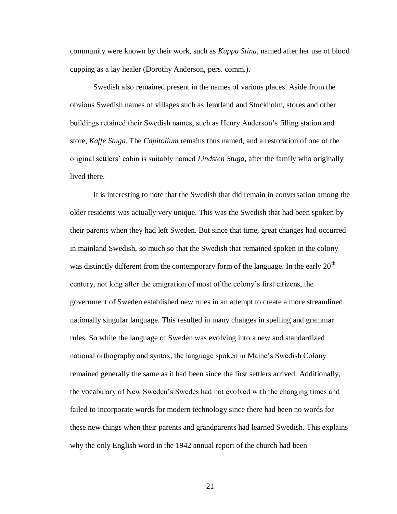community were known by their work, such as *Kuppa Stina*, named after her use of blood cupping as a lay healer (Dorothy Anderson, pers. comm.).

Swedish also remained present in the names of various places. Aside from the obvious Swedish names of villages such as Jemtland and Stockholm, stores and other buildings retained their Swedish names, such as Henry Anderson's filling station and store, *Kaffe Stuga*. The *Capitolium* remains thus named, and a restoration of one of the original settlers' cabin is suitably named *Lindsten Stuga*, after the family who originally lived there.

It is interesting to note that the Swedish that did remain in conversation among the older residents was actually very unique. This was the Swedish that had been spoken by their parents when they had left Sweden. But since that time, great changes had occurred in mainland Swedish, so much so that the Swedish that remained spoken in the colony was distinctly different from the contemporary form of the language. In the early  $20<sup>th</sup>$ century, not long after the emigration of most of the colony's first citizens, the government of Sweden established new rules in an attempt to create a more streamlined nationally singular language. This resulted in many changes in spelling and grammar rules. So while the language of Sweden was evolving into a new and standardized national orthography and syntax, the language spoken in Maine's Swedish Colony remained generally the same as it had been since the first settlers arrived. Additionally, the vocabulary of New Sweden's Swedes had not evolved with the changing times and failed to incorporate words for modern technology since there had been no words for these new things when their parents and grandparents had learned Swedish. This explains why the only English word in the 1942 annual report of the church had been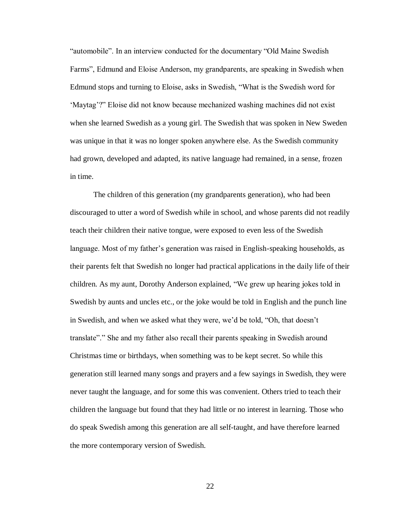"automobile". In an interview conducted for the documentary "Old Maine Swedish Farms", Edmund and Eloise Anderson, my grandparents, are speaking in Swedish when Edmund stops and turning to Eloise, asks in Swedish, "What is the Swedish word for 'Maytag'?" Eloise did not know because mechanized washing machines did not exist when she learned Swedish as a young girl. The Swedish that was spoken in New Sweden was unique in that it was no longer spoken anywhere else. As the Swedish community had grown, developed and adapted, its native language had remained, in a sense, frozen in time.

The children of this generation (my grandparents generation), who had been discouraged to utter a word of Swedish while in school, and whose parents did not readily teach their children their native tongue, were exposed to even less of the Swedish language. Most of my father's generation was raised in English-speaking households, as their parents felt that Swedish no longer had practical applications in the daily life of their children. As my aunt, Dorothy Anderson explained, "We grew up hearing jokes told in Swedish by aunts and uncles etc., or the joke would be told in English and the punch line in Swedish, and when we asked what they were, we'd be told, "Oh, that doesn't translate"." She and my father also recall their parents speaking in Swedish around Christmas time or birthdays, when something was to be kept secret. So while this generation still learned many songs and prayers and a few sayings in Swedish, they were never taught the language, and for some this was convenient. Others tried to teach their children the language but found that they had little or no interest in learning. Those who do speak Swedish among this generation are all self-taught, and have therefore learned the more contemporary version of Swedish.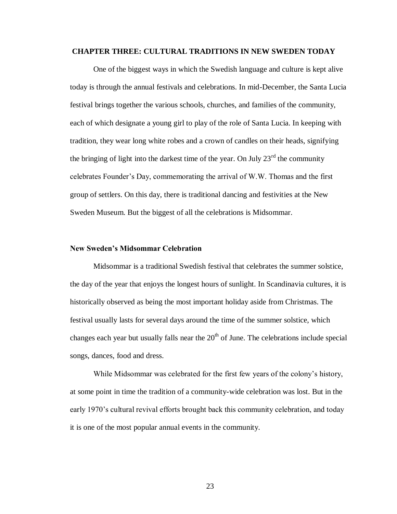#### **CHAPTER THREE: CULTURAL TRADITIONS IN NEW SWEDEN TODAY**

One of the biggest ways in which the Swedish language and culture is kept alive today is through the annual festivals and celebrations. In mid-December, the Santa Lucia festival brings together the various schools, churches, and families of the community, each of which designate a young girl to play of the role of Santa Lucia. In keeping with tradition, they wear long white robes and a crown of candles on their heads, signifying the bringing of light into the darkest time of the year. On July  $23<sup>rd</sup>$  the community celebrates Founder's Day, commemorating the arrival of W.W. Thomas and the first group of settlers. On this day, there is traditional dancing and festivities at the New Sweden Museum. But the biggest of all the celebrations is Midsommar.

#### **New Sweden's Midsommar Celebration**

Midsommar is a traditional Swedish festival that celebrates the summer solstice, the day of the year that enjoys the longest hours of sunlight. In Scandinavia cultures, it is historically observed as being the most important holiday aside from Christmas. The festival usually lasts for several days around the time of the summer solstice, which changes each year but usually falls near the  $20<sup>th</sup>$  of June. The celebrations include special songs, dances, food and dress.

While Midsommar was celebrated for the first few years of the colony's history, at some point in time the tradition of a community-wide celebration was lost. But in the early 1970's cultural revival efforts brought back this community celebration, and today it is one of the most popular annual events in the community.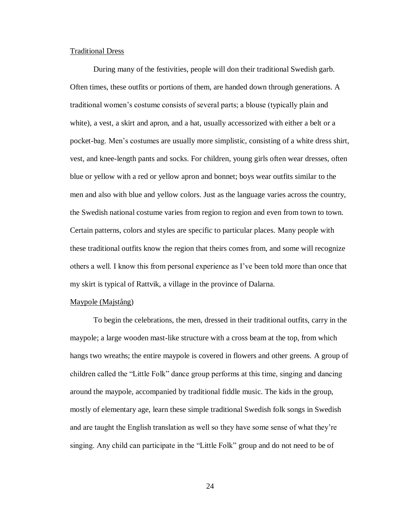#### Traditional Dress

During many of the festivities, people will don their traditional Swedish garb. Often times, these outfits or portions of them, are handed down through generations. A traditional women's costume consists of several parts; a blouse (typically plain and white), a vest, a skirt and apron, and a hat, usually accessorized with either a belt or a pocket-bag. Men's costumes are usually more simplistic, consisting of a white dress shirt, vest, and knee-length pants and socks. For children, young girls often wear dresses, often blue or yellow with a red or yellow apron and bonnet; boys wear outfits similar to the men and also with blue and yellow colors. Just as the language varies across the country, the Swedish national costume varies from region to region and even from town to town. Certain patterns, colors and styles are specific to particular places. Many people with these traditional outfits know the region that theirs comes from, and some will recognize others a well. I know this from personal experience as I've been told more than once that my skirt is typical of Rattvik, a village in the province of Dalarna.

#### Maypole (Majstång)

To begin the celebrations, the men, dressed in their traditional outfits, carry in the maypole; a large wooden mast-like structure with a cross beam at the top, from which hangs two wreaths; the entire maypole is covered in flowers and other greens. A group of children called the "Little Folk" dance group performs at this time, singing and dancing around the maypole, accompanied by traditional fiddle music. The kids in the group, mostly of elementary age, learn these simple traditional Swedish folk songs in Swedish and are taught the English translation as well so they have some sense of what they're singing. Any child can participate in the "Little Folk" group and do not need to be of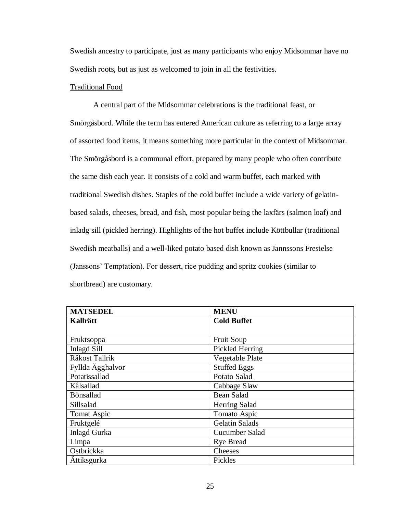Swedish ancestry to participate, just as many participants who enjoy Midsommar have no Swedish roots, but as just as welcomed to join in all the festivities.

## Traditional Food

A central part of the Midsommar celebrations is the traditional feast, or Smörgåsbord. While the term has entered American culture as referring to a large array of assorted food items, it means something more particular in the context of Midsommar. The Smörgåsbord is a communal effort, prepared by many people who often contribute the same dish each year. It consists of a cold and warm buffet, each marked with traditional Swedish dishes. Staples of the cold buffet include a wide variety of gelatinbased salads, cheeses, bread, and fish, most popular being the laxfärs (salmon loaf) and inladg sill (pickled herring). Highlights of the hot buffet include Köttbullar (traditional Swedish meatballs) and a well-liked potato based dish known as Jannssons Frestelse (Janssons' Temptation). For dessert, rice pudding and spritz cookies (similar to shortbread) are customary.

| <b>MATSEDEL</b>     | <b>MENU</b>           |
|---------------------|-----------------------|
| <b>Kallrätt</b>     | <b>Cold Buffet</b>    |
|                     |                       |
| Fruktsoppa          | Fruit Soup            |
| <b>Inlagd Sill</b>  | Pickled Herring       |
| Råkost Tallrik      | Vegetable Plate       |
| Fyllda Ägghalvor    | <b>Stuffed Eggs</b>   |
| Potatissallad       | Potato Salad          |
| Kålsallad           | Cabbage Slaw          |
| Bönsallad           | <b>Bean Salad</b>     |
| Sillsalad           | <b>Herring Salad</b>  |
| Tomat Aspic         | Tomato Aspic          |
| Fruktgelé           | <b>Gelatin Salads</b> |
| <b>Inlagd Gurka</b> | Cucumber Salad        |
| Limpa               | <b>Rye Bread</b>      |
| Ostbrickka          | Cheeses               |
| Ättiksgurka         | Pickles               |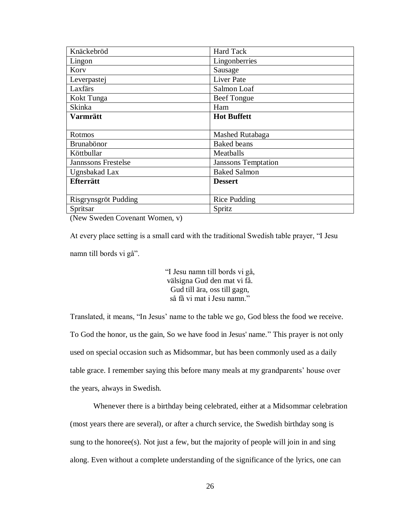| Knäckebröd                 | <b>Hard Tack</b>           |
|----------------------------|----------------------------|
| Lingon                     | Lingonberries              |
| Kory                       | Sausage                    |
| Leverpastej                | <b>Liver Pate</b>          |
| Laxfärs                    | Salmon Loaf                |
| Kokt Tunga                 | Beef Tongue                |
| <b>Skinka</b>              | Ham                        |
| <b>Varmrätt</b>            | <b>Hot Buffett</b>         |
|                            |                            |
| Rotmos                     | Mashed Rutabaga            |
| Brunabönor                 | <b>Baked</b> beans         |
| Köttbullar                 | Meatballs                  |
| <b>Jannssons Frestelse</b> | <b>Janssons Temptation</b> |
| Ugnsbakad Lax              | <b>Baked Salmon</b>        |
| <b>Efterrätt</b>           | <b>Dessert</b>             |
|                            |                            |
| Risgrynsgröt Pudding       | <b>Rice Pudding</b>        |
| Spritsar                   | Spritz                     |

(New Sweden Covenant Women, v)

At every place setting is a small card with the traditional Swedish table prayer, "I Jesu namn till bords vi gå".

> "I Jesu namn till bords vi gå, välsigna Gud den mat vi få. Gud till ära, oss till gagn, så få vi mat i Jesu namn."

Translated, it means, "In Jesus' name to the table we go, God bless the food we receive. To God the honor, us the gain, So we have food in Jesus' name." This prayer is not only used on special occasion such as Midsommar, but has been commonly used as a daily table grace. I remember saying this before many meals at my grandparents' house over the years, always in Swedish.

Whenever there is a birthday being celebrated, either at a Midsommar celebration (most years there are several), or after a church service, the Swedish birthday song is sung to the honoree(s). Not just a few, but the majority of people will join in and sing along. Even without a complete understanding of the significance of the lyrics, one can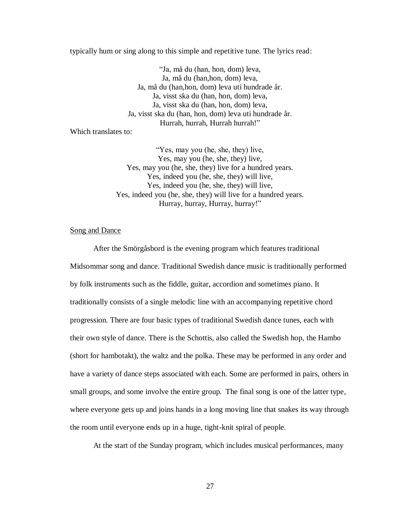typically hum or sing along to this simple and repetitive tune. The lyrics read:

"Ja, må du (han, hon, dom) leva, Ja, må du (han,hon, dom) leva, Ja, må du (han,hon, dom) leva uti hundrade år. Ja, visst ska du (han, hon, dom) leva, Ja, visst ska du (han, hon, dom) leva, Ja, visst ska du (han, hon, dom) leva uti hundrade år. Hurrah, hurrah, Hurrah hurrah!"

Which translates to:

"Yes, may you (he, she, they) live, Yes, may you (he, she, they) live, Yes, may you (he, she, they) live for a hundred years. Yes, indeed you (he, she, they) will live, Yes, indeed you (he, she, they) will live, Yes, indeed you (he, she, they) will live for a hundred years. Hurray, hurray, Hurray, hurray!"

### Song and Dance

After the Smörgåsbord is the evening program which features traditional Midsommar song and dance. Traditional Swedish dance music is traditionally performed by folk instruments such as the fiddle, guitar, accordion and sometimes piano. It traditionally consists of a single melodic line with an accompanying repetitive chord progression. There are four basic types of traditional Swedish dance tunes, each with their own style of dance. There is the Schottis, also called the Swedish hop, the Hambo (short for hambotakt), the waltz and the polka. These may be performed in any order and have a variety of dance steps associated with each. Some are performed in pairs, others in small groups, and some involve the entire group. The final song is one of the latter type, where everyone gets up and joins hands in a long moving line that snakes its way through the room until everyone ends up in a huge, tight-knit spiral of people.

At the start of the Sunday program, which includes musical performances, many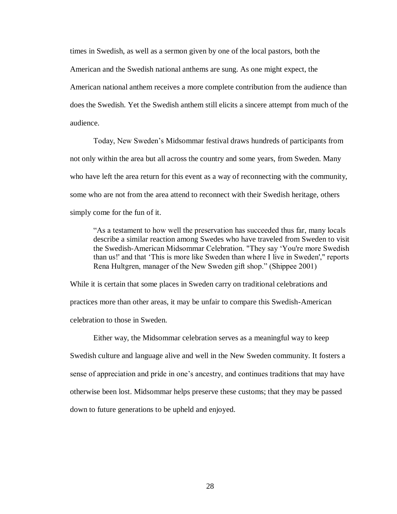times in Swedish, as well as a sermon given by one of the local pastors, both the American and the Swedish national anthems are sung. As one might expect, the American national anthem receives a more complete contribution from the audience than does the Swedish. Yet the Swedish anthem still elicits a sincere attempt from much of the audience.

Today, New Sweden's Midsommar festival draws hundreds of participants from not only within the area but all across the country and some years, from Sweden. Many who have left the area return for this event as a way of reconnecting with the community, some who are not from the area attend to reconnect with their Swedish heritage, others simply come for the fun of it.

"As a testament to how well the preservation has succeeded thus far, many locals describe a similar reaction among Swedes who have traveled from Sweden to visit the Swedish-American Midsommar Celebration. "They say 'You're more Swedish than us!' and that 'This is more like Sweden than where I live in Sweden'," reports Rena Hultgren, manager of the New Sweden gift shop." (Shippee 2001)

While it is certain that some places in Sweden carry on traditional celebrations and practices more than other areas, it may be unfair to compare this Swedish-American celebration to those in Sweden.

Either way, the Midsommar celebration serves as a meaningful way to keep Swedish culture and language alive and well in the New Sweden community. It fosters a sense of appreciation and pride in one's ancestry, and continues traditions that may have otherwise been lost. Midsommar helps preserve these customs; that they may be passed down to future generations to be upheld and enjoyed.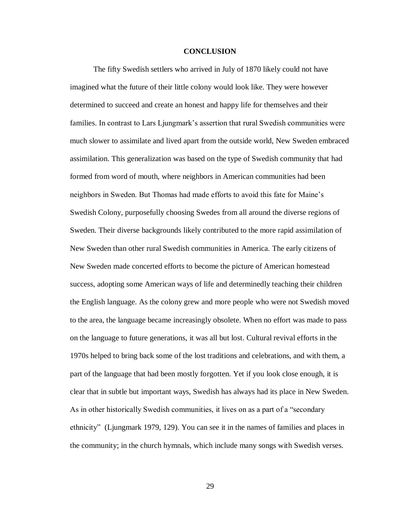### **CONCLUSION**

The fifty Swedish settlers who arrived in July of 1870 likely could not have imagined what the future of their little colony would look like. They were however determined to succeed and create an honest and happy life for themselves and their families. In contrast to Lars Ljungmark's assertion that rural Swedish communities were much slower to assimilate and lived apart from the outside world, New Sweden embraced assimilation. This generalization was based on the type of Swedish community that had formed from word of mouth, where neighbors in American communities had been neighbors in Sweden. But Thomas had made efforts to avoid this fate for Maine's Swedish Colony, purposefully choosing Swedes from all around the diverse regions of Sweden. Their diverse backgrounds likely contributed to the more rapid assimilation of New Sweden than other rural Swedish communities in America. The early citizens of New Sweden made concerted efforts to become the picture of American homestead success, adopting some American ways of life and determinedly teaching their children the English language. As the colony grew and more people who were not Swedish moved to the area, the language became increasingly obsolete. When no effort was made to pass on the language to future generations, it was all but lost. Cultural revival efforts in the 1970s helped to bring back some of the lost traditions and celebrations, and with them, a part of the language that had been mostly forgotten. Yet if you look close enough, it is clear that in subtle but important ways, Swedish has always had its place in New Sweden. As in other historically Swedish communities, it lives on as a part of a "secondary ethnicity" (Ljungmark 1979, 129). You can see it in the names of families and places in the community; in the church hymnals, which include many songs with Swedish verses.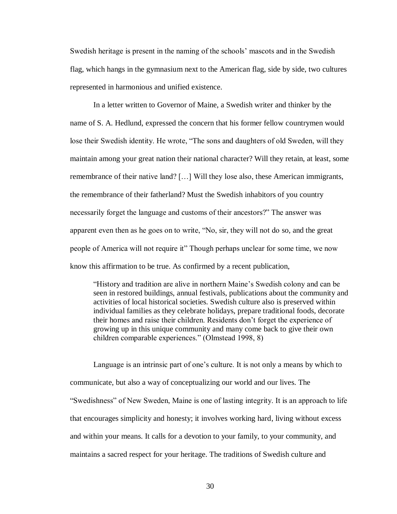Swedish heritage is present in the naming of the schools' mascots and in the Swedish flag, which hangs in the gymnasium next to the American flag, side by side, two cultures represented in harmonious and unified existence.

In a letter written to Governor of Maine, a Swedish writer and thinker by the name of S. A. Hedlund, expressed the concern that his former fellow countrymen would lose their Swedish identity. He wrote, "The sons and daughters of old Sweden, will they maintain among your great nation their national character? Will they retain, at least, some remembrance of their native land? […] Will they lose also, these American immigrants, the remembrance of their fatherland? Must the Swedish inhabitors of you country necessarily forget the language and customs of their ancestors?" The answer was apparent even then as he goes on to write, "No, sir, they will not do so, and the great people of America will not require it" Though perhaps unclear for some time, we now know this affirmation to be true. As confirmed by a recent publication,

"History and tradition are alive in northern Maine's Swedish colony and can be seen in restored buildings, annual festivals, publications about the community and activities of local historical societies. Swedish culture also is preserved within individual families as they celebrate holidays, prepare traditional foods, decorate their homes and raise their children. Residents don't forget the experience of growing up in this unique community and many come back to give their own children comparable experiences." (Olmstead 1998, 8)

Language is an intrinsic part of one's culture. It is not only a means by which to communicate, but also a way of conceptualizing our world and our lives. The "Swedishness" of New Sweden, Maine is one of lasting integrity. It is an approach to life that encourages simplicity and honesty; it involves working hard, living without excess and within your means. It calls for a devotion to your family, to your community, and maintains a sacred respect for your heritage. The traditions of Swedish culture and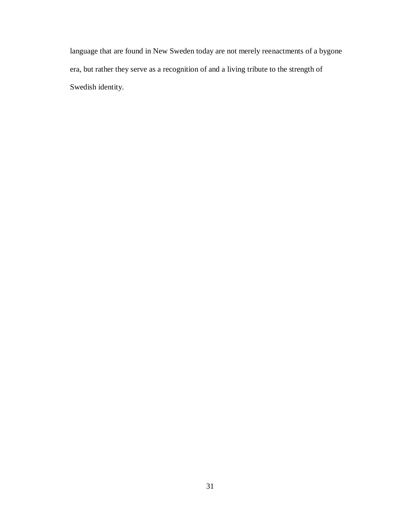language that are found in New Sweden today are not merely reenactments of a bygone era, but rather they serve as a recognition of and a living tribute to the strength of Swedish identity.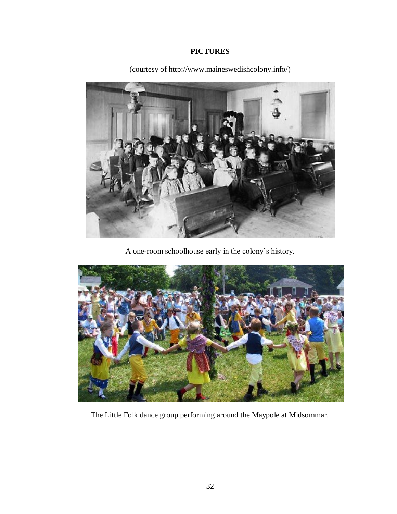## **PICTURES**



(courtesy of http://www.maineswedishcolony.info/)

A one-room schoolhouse early in the colony's history.



The Little Folk dance group performing around the Maypole at Midsommar.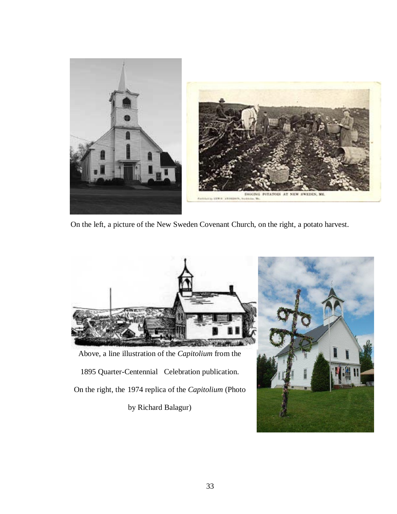

On the left, a picture of the New Sweden Covenant Church, on the right, a potato harvest.



Above, a line illustration of the *Capitolium* from the

1895 Quarter-Centennial Celebration publication.

On the right, the 1974 replica of the *Capitolium* (Photo

by Richard Balagur)

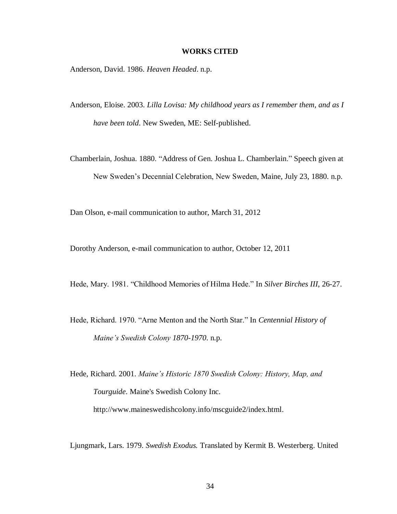#### **WORKS CITED**

Anderson, David. 1986. *Heaven Headed*. n.p.

- Anderson, Eloise. 2003. *Lilla Lovisa: My childhood years as I remember them, and as I have been told*. New Sweden, ME: Self-published.
- Chamberlain, Joshua. 1880. "Address of Gen. Joshua L. Chamberlain." Speech given at New Sweden's Decennial Celebration, New Sweden, Maine, July 23, 1880. n.p.

Dan Olson, e-mail communication to author, March 31, 2012

Dorothy Anderson, e-mail communication to author, October 12, 2011

Hede, Mary. 1981. "Childhood Memories of Hilma Hede." In *Silver Birches III*, 26-27.

Hede, Richard. 1970. "Arne Menton and the North Star." In *Centennial History of Maine's Swedish Colony 1870-1970*. n.p.

Hede, Richard. 2001. *Maine's Historic 1870 Swedish Colony: History, Map, and Tourguide*. Maine's Swedish Colony Inc.

http://www.maineswedishcolony.info/mscguide2/index.html.

Ljungmark, Lars. 1979. *Swedish Exodus.* Translated by Kermit B. Westerberg. United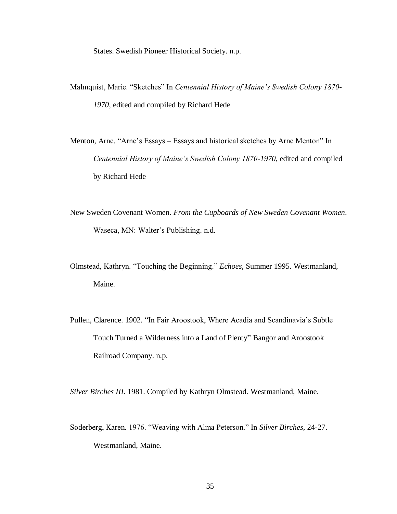States. Swedish Pioneer Historical Society. n.p.

- Malmquist, Marie. "Sketches" In *Centennial History of Maine's Swedish Colony 1870- 1970*, edited and compiled by Richard Hede
- Menton, Arne. "Arne's Essays Essays and historical sketches by Arne Menton" In *Centennial History of Maine's Swedish Colony 1870-1970*, edited and compiled by Richard Hede
- New Sweden Covenant Women. *From the Cupboards of New Sweden Covenant Women*. Waseca, MN: Walter's Publishing. n.d.
- Olmstead, Kathryn. "Touching the Beginning." *Echoes,* Summer 1995. Westmanland, Maine.
- Pullen, Clarence. 1902. "In Fair Aroostook, Where Acadia and Scandinavia's Subtle Touch Turned a Wilderness into a Land of Plenty" Bangor and Aroostook Railroad Company. n.p.

*Silver Birches III*. 1981. Compiled by Kathryn Olmstead. Westmanland, Maine.

Soderberg, Karen. 1976. "Weaving with Alma Peterson." In *Silver Birches*, 24-27. Westmanland, Maine.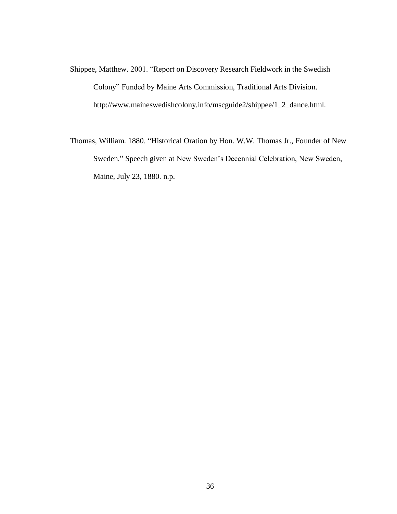- Shippee, Matthew. 2001. "Report on Discovery Research Fieldwork in the Swedish Colony" Funded by Maine Arts Commission, Traditional Arts Division. http://www.maineswedishcolony.info/mscguide2/shippee/1\_2\_dance.html.
- Thomas, William. 1880. "Historical Oration by Hon. W.W. Thomas Jr., Founder of New Sweden." Speech given at New Sweden's Decennial Celebration, New Sweden, Maine, July 23, 1880. n.p.